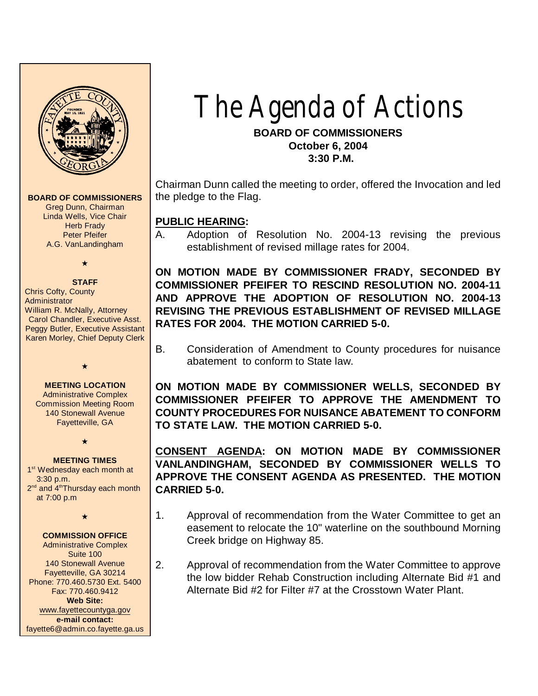

**BOARD OF COMMISSIONERS**

Greg Dunn, Chairman Linda Wells, Vice Chair **Herb Frady** Peter Pfeifer A.G. VanLandingham

 $\star$ 

**STAFF**

Chris Cofty, County **Administrator** William R. McNally, Attorney Carol Chandler, Executive Asst. Peggy Butler, Executive Assistant Karen Morley, Chief Deputy Clerk

**MEETING LOCATION** Administrative Complex Commission Meeting Room 140 Stonewall Avenue Fayetteville, GA

 $\star$ 

**MEETING TIMES** 1<sup>st</sup> Wednesday each month at 3:30 p.m. 2<sup>nd</sup> and 4<sup>th</sup>Thursday each month at 7:00 p.m

 $\bigstar$ 

 $\star$ 

#### **COMMISSION OFFICE** Administrative Complex Suite 100 140 Stonewall Avenue Fayetteville, GA 30214 Phone: 770.460.5730 Ext. 5400 Fax: 770.460.9412 **Web Site:** [www.fayettecountyga.gov](http://www.admin.co.fayette.ga.us)

**e-mail contact:** fayette6@admin.co.fayette.ga.us

# The Agenda of Actions

**BOARD OF COMMISSIONERS October 6, 2004 3:30 P.M.**

Chairman Dunn called the meeting to order, offered the Invocation and led the pledge to the Flag.

### **PUBLIC HEARING:**

A. Adoption of Resolution No. 2004-13 revising the previous establishment of revised millage rates for 2004.

**ON MOTION MADE BY COMMISSIONER FRADY, SECONDED BY COMMISSIONER PFEIFER TO RESCIND RESOLUTION NO. 2004-11 AND APPROVE THE ADOPTION OF RESOLUTION NO. 2004-13 REVISING THE PREVIOUS ESTABLISHMENT OF REVISED MILLAGE RATES FOR 2004. THE MOTION CARRIED 5-0.**

B. Consideration of Amendment to County procedures for nuisance abatement to conform to State law.

**ON MOTION MADE BY COMMISSIONER WELLS, SECONDED BY COMMISSIONER PFEIFER TO APPROVE THE AMENDMENT TO COUNTY PROCEDURES FOR NUISANCE ABATEMENT TO CONFORM TO STATE LAW. THE MOTION CARRIED 5-0.**

**CONSENT AGENDA: ON MOTION MADE BY COMMISSIONER VANLANDINGHAM, SECONDED BY COMMISSIONER WELLS TO APPROVE THE CONSENT AGENDA AS PRESENTED. THE MOTION CARRIED 5-0.**

- 1. Approval of recommendation from the Water Committee to get an easement to relocate the 10" waterline on the southbound Morning Creek bridge on Highway 85.
- 2. Approval of recommendation from the Water Committee to approve the low bidder Rehab Construction including Alternate Bid #1 and Alternate Bid #2 for Filter #7 at the Crosstown Water Plant.